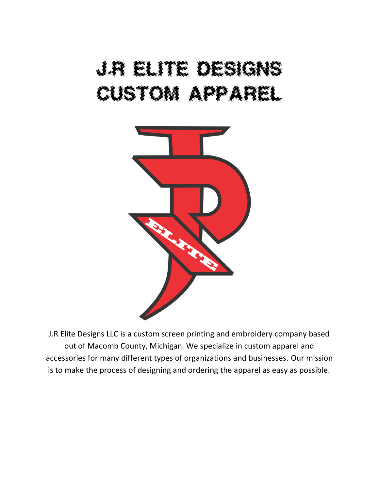## J.R elite Designation of the Commission of the Commission Custom app appel



J.R Elite Designs LLC is a custom screen printing and embroidery company based out of Macomb County, Michigan. We specialize in custom apparel and accessories for many different types of organizations and businesses. Our mission is to make the process of designing and ordering the apparel as easy as possible.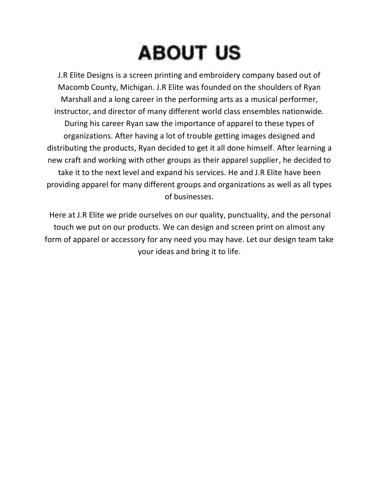# About us

J.R Elite Designs is a screen printing and embroidery company based out of Macomb County, Michigan. J.R Elite was founded on the shoulders of Ryan Marshall and a long career in the performing arts as a musical performer, instructor, and director of many different world class ensembles nationwide. During his career Ryan saw the importance of apparel to these types of organizations. After having a lot of trouble getting images designed and distributing the products, Ryan decided to get it all done himself. After learning a new craft and working with other groups as their apparel supplier, he decided to take it to the next level and expand his services. He and J.R Elite have been providing apparel for many different groups and organizations as well as all types of businesses.

Here at J.R Elite we pride ourselves on our quality, punctuality, and the personal touch we put on our products. We can design and screen print on almost any form of apparel or accessory for any need you may have. Let our design team take your ideas and bring it to life.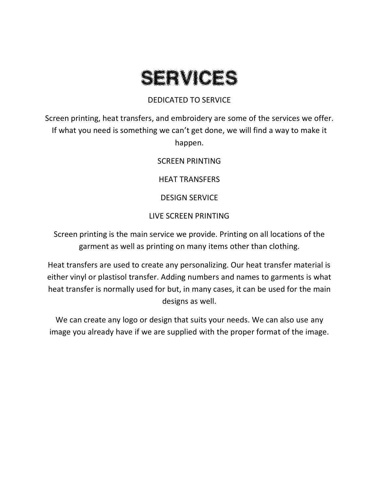### SERVICE STATE

#### DEDICATED TO SERVICE

Screen printing, heat transfers, and embroidery are some of the services we offer. If what you need is something we can't get done, we will find a way to make it happen.

SCREEN PRINTING

HEAT TRANSFERS

DESIGN SERVICE

#### LIVE SCREEN PRINTING

Screen printing is the main service we provide. Printing on all locations of the garment as well as printing on many items other than clothing.

Heat transfers are used to create any personalizing. Our heat transfer material is either vinyl or plastisol transfer. Adding numbers and names to garments is what heat transfer is normally used for but, in many cases, it can be used for the main designs as well.

We can create any logo or design that suits your needs. We can also use any image you already have if we are supplied with the proper format of the image.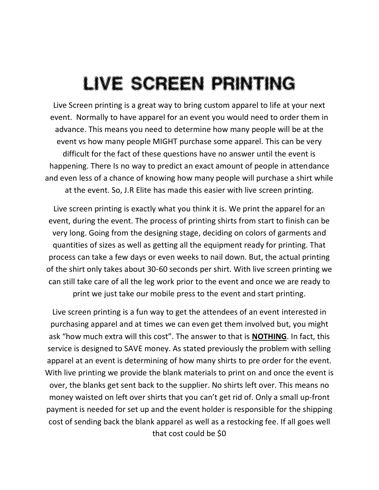### LIVE SCREEN PRINTING

Live Screen printing is a great way to bring custom apparel to life at your next event. Normally to have apparel for an event you would need to order them in advance. This means you need to determine how many people will be at the event vs how many people MIGHT purchase some apparel. This can be very difficult for the fact of these questions have no answer until the event is happening. There Is no way to predict an exact amount of people in attendance and even less of a chance of knowing how many people will purchase a shirt while at the event. So, J.R Elite has made this easier with live screen printing.

Live screen printing is exactly what you think it is. We print the apparel for an event, during the event. The process of printing shirts from start to finish can be very long. Going from the designing stage, deciding on colors of garments and quantities of sizes as well as getting all the equipment ready for printing. That process can take a few days or even weeks to nail down. But, the actual printing of the shirt only takes about 30-60 seconds per shirt. With live screen printing we can still take care of all the leg work prior to the event and once we are ready to print we just take our mobile press to the event and start printing.

Live screen printing is a fun way to get the attendees of an event interested in purchasing apparel and at times we can even get them involved but, you might ask "how much extra will this cost". The answer to that is **NOTHING**. In fact, this service is designed to SAVE money. As stated previously the problem with selling apparel at an event is determining of how many shirts to pre order for the event. With live printing we provide the blank materials to print on and once the event is over, the blanks get sent back to the supplier. No shirts left over. This means no money waisted on left over shirts that you can't get rid of. Only a small up-front payment is needed for set up and the event holder is responsible for the shipping cost of sending back the blank apparel as well as a restocking fee. If all goes well that cost could be \$0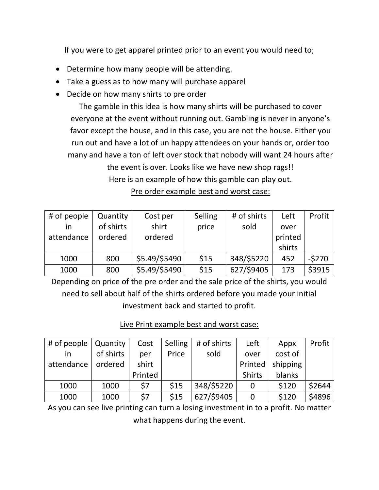If you were to get apparel printed prior to an event you would need to;

- Determine how many people will be attending.
- Take a guess as to how many will purchase apparel
- Decide on how many shirts to pre order

The gamble in this idea is how many shirts will be purchased to cover everyone at the event without running out. Gambling is never in anyone's favor except the house, and in this case, you are not the house. Either you run out and have a lot of un happy attendees on your hands or, order too many and have a ton of left over stock that nobody will want 24 hours after the event is over. Looks like we have new shop rags!! Here is an example of how this gamble can play out. Pre order example best and worst case:

| # of people | Quantity  | Cost per      | Selling | # of shirts | Left    | Profit  |
|-------------|-----------|---------------|---------|-------------|---------|---------|
| ın          | of shirts | shirt         | price   | sold        | over    |         |
| attendance  | ordered   | ordered       |         |             | printed |         |
|             |           |               |         |             | shirts  |         |
| 1000        | 800       | \$5.49/\$5490 | \$15    | 348/\$5220  | 452     | $-5270$ |
| 1000        | 800       | \$5.49/\$5490 | \$15    | 627/\$9405  | 173     | \$3915  |

Depending on price of the pre order and the sale price of the shirts, you would need to sell about half of the shirts ordered before you made your initial investment back and started to profit.

#### Live Print example best and worst case:

| # of people $\vert$ Quantity |           | Cost    | Selling | # of shirts | Left          | Appx     | Profit |
|------------------------------|-----------|---------|---------|-------------|---------------|----------|--------|
| $\overline{\mathsf{I}}$      | of shirts | per     | Price   | sold        | over          | cost of  |        |
| attendance                   | ordered   | shirt   |         |             | Printed       | shipping |        |
|                              |           | Printed |         |             | <b>Shirts</b> | blanks   |        |
| 1000                         | 1000      | \$7     | \$15    | 348/\$5220  | 0             | \$120    | \$2644 |
| 1000                         | 1000      | \$7     | \$15    | 627/\$9405  | 0             | \$120    | \$4896 |

As you can see live printing can turn a losing investment in to a profit. No matter what happens during the event.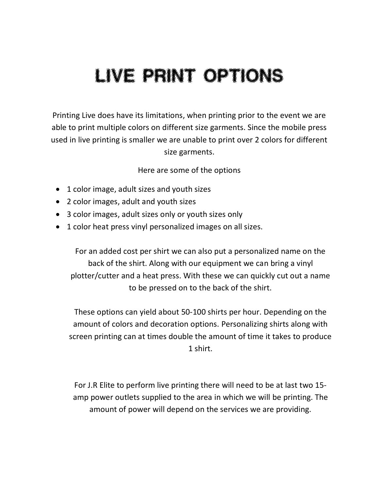## Live Print options

Printing Live does have its limitations, when printing prior to the event we are able to print multiple colors on different size garments. Since the mobile press used in live printing is smaller we are unable to print over 2 colors for different size garments.

Here are some of the options

- 1 color image, adult sizes and youth sizes
- 2 color images, adult and youth sizes
- 3 color images, adult sizes only or youth sizes only
- 1 color heat press vinyl personalized images on all sizes.

For an added cost per shirt we can also put a personalized name on the back of the shirt. Along with our equipment we can bring a vinyl plotter/cutter and a heat press. With these we can quickly cut out a name to be pressed on to the back of the shirt.

These options can yield about 50-100 shirts per hour. Depending on the amount of colors and decoration options. Personalizing shirts along with screen printing can at times double the amount of time it takes to produce 1 shirt.

For J.R Elite to perform live printing there will need to be at last two 15 amp power outlets supplied to the area in which we will be printing. The amount of power will depend on the services we are providing.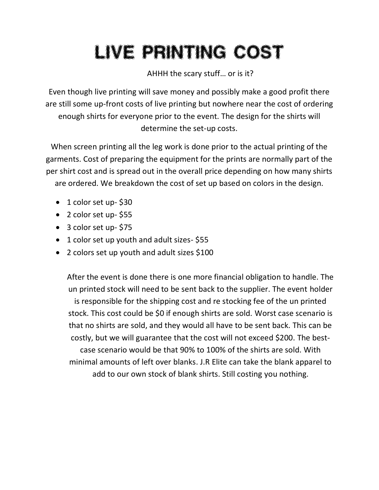# Live Printing Cost (100)

AHHH the scary stuff… or is it?

Even though live printing will save money and possibly make a good profit there are still some up-front costs of live printing but nowhere near the cost of ordering enough shirts for everyone prior to the event. The design for the shirts will determine the set-up costs.

When screen printing all the leg work is done prior to the actual printing of the garments. Cost of preparing the equipment for the prints are normally part of the per shirt cost and is spread out in the overall price depending on how many shirts are ordered. We breakdown the cost of set up based on colors in the design.

- 1 color set up- \$30
- 2 color set up- \$55
- 3 color set up- \$75
- 1 color set up youth and adult sizes-\$55
- 2 colors set up youth and adult sizes \$100

After the event is done there is one more financial obligation to handle. The un printed stock will need to be sent back to the supplier. The event holder is responsible for the shipping cost and re stocking fee of the un printed stock. This cost could be \$0 if enough shirts are sold. Worst case scenario is that no shirts are sold, and they would all have to be sent back. This can be costly, but we will guarantee that the cost will not exceed \$200. The bestcase scenario would be that 90% to 100% of the shirts are sold. With minimal amounts of left over blanks. J.R Elite can take the blank apparel to add to our own stock of blank shirts. Still costing you nothing.